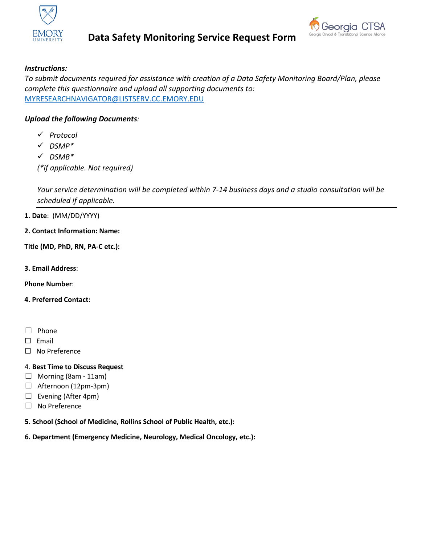

# **Data Safety Monitoring Service Request Form**



# *Instructions:*

*To submit documents required for assistance with creation of a Data Safety Monitoring Board/Plan, please complete this questionnaire and upload all supporting documents to:*  [MYRESEARCHNAVIGATOR@LISTSERV.CC.EMORY.EDU](mailto:MYRESEARCHNAVIGATOR@LISTSERV.CC.EMORY.EDU)

# *Upload the following Documents:*

- *Protocol*
- *DSMP\**
- *DSMB\**

*(\*if applicable. Not required)*

*Your service determination will be completed within 7-14 business days and a studio consultation will be scheduled if applicable.*

## **1. Date**: (MM/DD/YYYY)

**2. Contact Information: Name:**

## **Title (MD, PhD, RN, PA-C etc.):**

**3. Email Address**:

**Phone Number**:

### **4. Preferred Contact:**

- ☐ Phone
- ☐ Email
- ☐ No Preference

# 4. **Best Time to Discuss Request**

- $\Box$  Morning (8am 11am)
- $\Box$  Afternoon (12pm-3pm)
- $\Box$  Evening (After 4pm)
- ☐ No Preference

**5. School (School of Medicine, Rollins School of Public Health, etc.):**

# **6. Department (Emergency Medicine, Neurology, Medical Oncology, etc.):**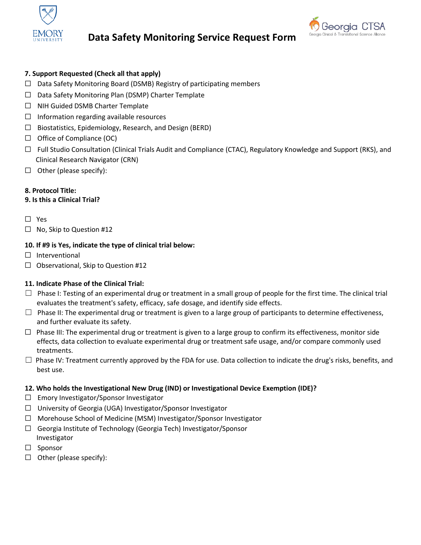

# **Data Safety Monitoring Service Request Form**



## **7. Support Requested (Check all that apply)**

- ☐ Data Safety Monitoring Board (DSMB) Registry of participating members
- ☐ Data Safety Monitoring Plan (DSMP) Charter Template
- ☐ NIH Guided DSMB Charter Template
- $\Box$  Information regarding available resources
- ☐ Biostatistics, Epidemiology, Research, and Design (BERD)
- $\Box$  Office of Compliance (OC)
- ☐ Full Studio Consultation (Clinical Trials Audit and Compliance (CTAC), Regulatory Knowledge and Support (RKS), and Clinical Research Navigator (CRN)
- $\Box$  Other (please specify):

## **8.** Protocol Title:

## **9. Is this a Clinical Trial?**

- ☐ Yes
- ☐ No, Skip to Question #12

#### **10. If #9 is Yes, indicate the type of clinical trial below:**

- □ Interventional
- ☐ Observational, Skip to Question #12

#### **11. Indicate Phase of the Clinical Trial:**

- $\Box$  Phase I: Testing of an experimental drug or treatment in a small group of people for the first time. The clinical trial evaluates the treatment's safety, efficacy, safe dosage, and identify side effects.
- $\Box$  Phase II: The experimental drug or treatment is given to a large group of participants to determine effectiveness, and further evaluate its safety.
- $\Box$  Phase III: The experimental drug or treatment is given to a large group to confirm its effectiveness, monitor side effects, data collection to evaluate experimental drug or treatment safe usage, and/or compare commonly used treatments.
- $\Box$  Phase IV: Treatment currently approved by the FDA for use. Data collection to indicate the drug's risks, benefits, and best use.

#### **12. Who holds the Investigational New Drug (IND) or Investigational Device Exemption (IDE)?**

- ☐ Emory Investigator/Sponsor Investigator
- ☐ University of Georgia (UGA) Investigator/Sponsor Investigator
- ☐ Morehouse School of Medicine (MSM) Investigator/Sponsor Investigator
- ☐ Georgia Institute of Technology (Georgia Tech) Investigator/Sponsor Investigator
- ☐ Sponsor
- $\Box$  Other (please specify):